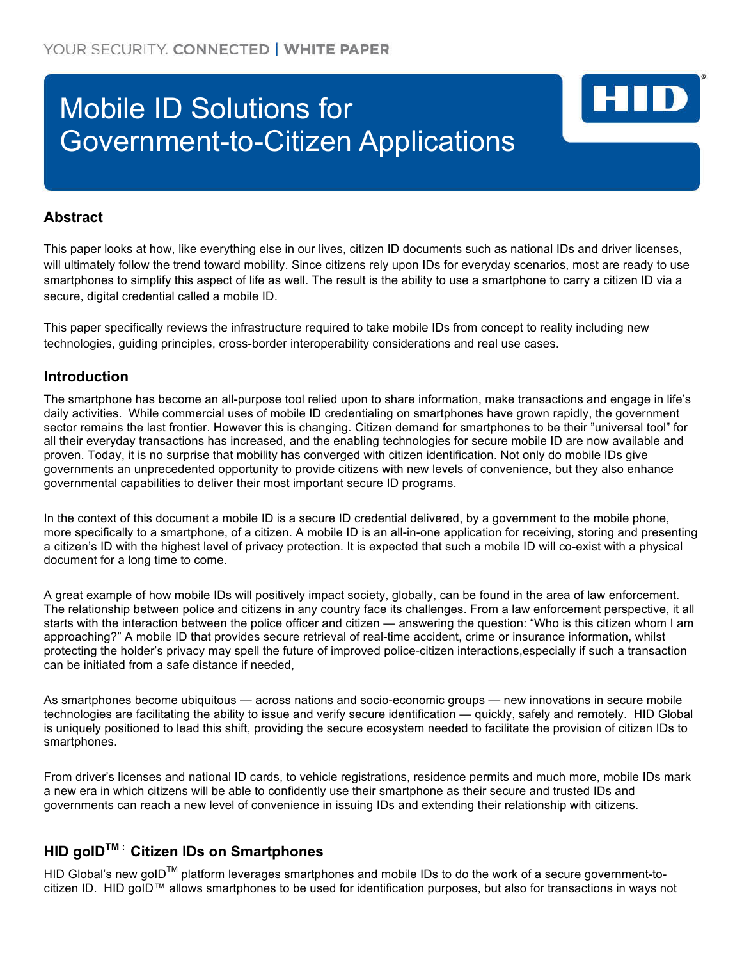# Mobile ID Solutions for Government-to-Citizen Applications

## **Abstract**

This paper looks at how, like everything else in our lives, citizen ID documents such as national IDs and driver licenses, will ultimately follow the trend toward mobility. Since citizens rely upon IDs for everyday scenarios, most are ready to use smartphones to simplify this aspect of life as well. The result is the ability to use a smartphone to carry a citizen ID via a secure, digital credential called a mobile ID.

HID

This paper specifically reviews the infrastructure required to take mobile IDs from concept to reality including new technologies, guiding principles, cross-border interoperability considerations and real use cases.

## **Introduction**

The smartphone has become an all-purpose tool relied upon to share information, make transactions and engage in life's daily activities. While commercial uses of mobile ID credentialing on smartphones have grown rapidly, the government sector remains the last frontier. However this is changing. Citizen demand for smartphones to be their "universal tool" for all their everyday transactions has increased, and the enabling technologies for secure mobile ID are now available and proven. Today, it is no surprise that mobility has converged with citizen identification. Not only do mobile IDs give governments an unprecedented opportunity to provide citizens with new levels of convenience, but they also enhance governmental capabilities to deliver their most important secure ID programs.

In the context of this document a mobile ID is a secure ID credential delivered, by a government to the mobile phone, more specifically to a smartphone, of a citizen. A mobile ID is an all-in-one application for receiving, storing and presenting a citizen's ID with the highest level of privacy protection. It is expected that such a mobile ID will co-exist with a physical document for a long time to come.

A great example of how mobile IDs will positively impact society, globally, can be found in the area of law enforcement. The relationship between police and citizens in any country face its challenges. From a law enforcement perspective, it all starts with the interaction between the police officer and citizen — answering the question: "Who is this citizen whom I am approaching?" A mobile ID that provides secure retrieval of real-time accident, crime or insurance information, whilst protecting the holder's privacy may spell the future of improved police-citizen interactions,especially if such a transaction can be initiated from a safe distance if needed,

As smartphones become ubiquitous — across nations and socio-economic groups — new innovations in secure mobile technologies are facilitating the ability to issue and verify secure identification — quickly, safely and remotely. HID Global is uniquely positioned to lead this shift, providing the secure ecosystem needed to facilitate the provision of citizen IDs to smartphones.

From driver's licenses and national ID cards, to vehicle registrations, residence permits and much more, mobile IDs mark a new era in which citizens will be able to confidently use their smartphone as their secure and trusted IDs and governments can reach a new level of convenience in issuing IDs and extending their relationship with citizens.

# **HID goIDTM : Citizen IDs on Smartphones**

HID Global's new goID™ platform leverages smartphones and mobile IDs to do the work of a secure government-tocitizen ID. HID goID™ allows smartphones to be used for identification purposes, but also for transactions in ways not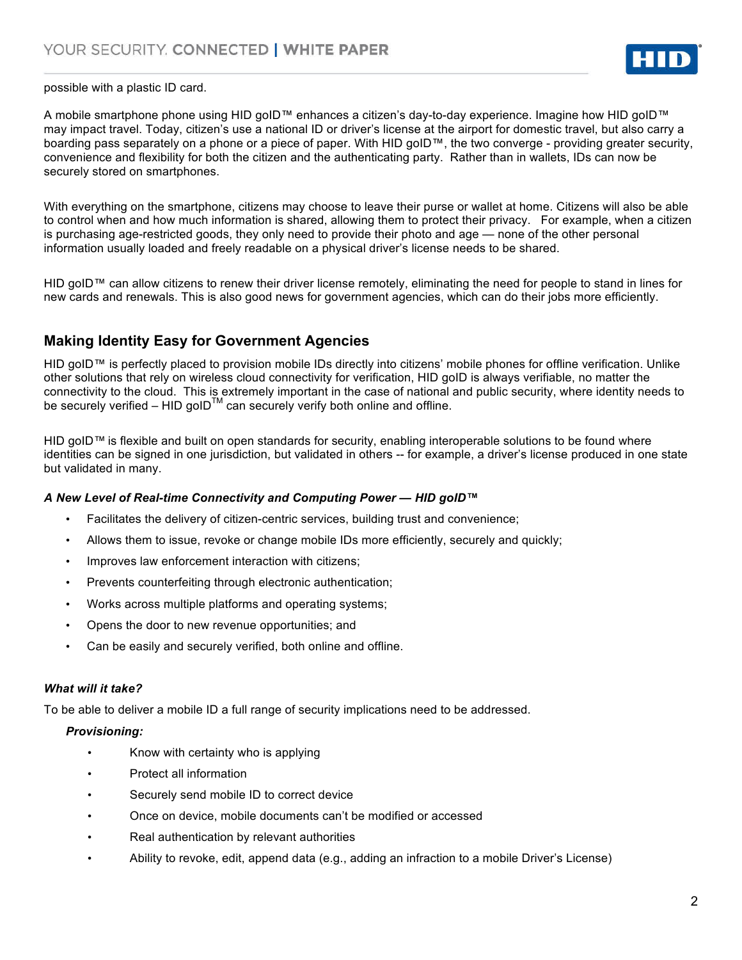

possible with a plastic ID card.

A mobile smartphone phone using HID goID™ enhances a citizen's day-to-day experience. Imagine how HID goID™ may impact travel. Today, citizen's use a national ID or driver's license at the airport for domestic travel, but also carry a boarding pass separately on a phone or a piece of paper. With HID goID™, the two converge - providing greater security, convenience and flexibility for both the citizen and the authenticating party. Rather than in wallets, IDs can now be securely stored on smartphones.

With everything on the smartphone, citizens may choose to leave their purse or wallet at home. Citizens will also be able to control when and how much information is shared, allowing them to protect their privacy. For example, when a citizen is purchasing age-restricted goods, they only need to provide their photo and age — none of the other personal information usually loaded and freely readable on a physical driver's license needs to be shared.

HID goID™ can allow citizens to renew their driver license remotely, eliminating the need for people to stand in lines for new cards and renewals. This is also good news for government agencies, which can do their jobs more efficiently.

## **Making Identity Easy for Government Agencies**

HID goID™ is perfectly placed to provision mobile IDs directly into citizens' mobile phones for offline verification. Unlike other solutions that rely on wireless cloud connectivity for verification, HID goID is always verifiable, no matter the connectivity to the cloud. This is extremely important in the case of national and public security, where identity needs to be securely verified – HID goID<sup>TM</sup> can securely verify both online and offline.

HID goID™ is flexible and built on open standards for security, enabling interoperable solutions to be found where identities can be signed in one jurisdiction, but validated in others -- for example, a driver's license produced in one state but validated in many.

#### *A New Level of Real-time Connectivity and Computing Power — HID goID™*

- Facilitates the delivery of citizen-centric services, building trust and convenience;
- Allows them to issue, revoke or change mobile IDs more efficiently, securely and quickly;
- Improves law enforcement interaction with citizens;
- Prevents counterfeiting through electronic authentication;
- Works across multiple platforms and operating systems;
- Opens the door to new revenue opportunities; and
- Can be easily and securely verified, both online and offline.

#### *What will it take?*

To be able to deliver a mobile ID a full range of security implications need to be addressed.

## *Provisioning:*

- Know with certainty who is applying
- Protect all information
- Securely send mobile ID to correct device
- Once on device, mobile documents can't be modified or accessed
- Real authentication by relevant authorities
- Ability to revoke, edit, append data (e.g., adding an infraction to a mobile Driver's License)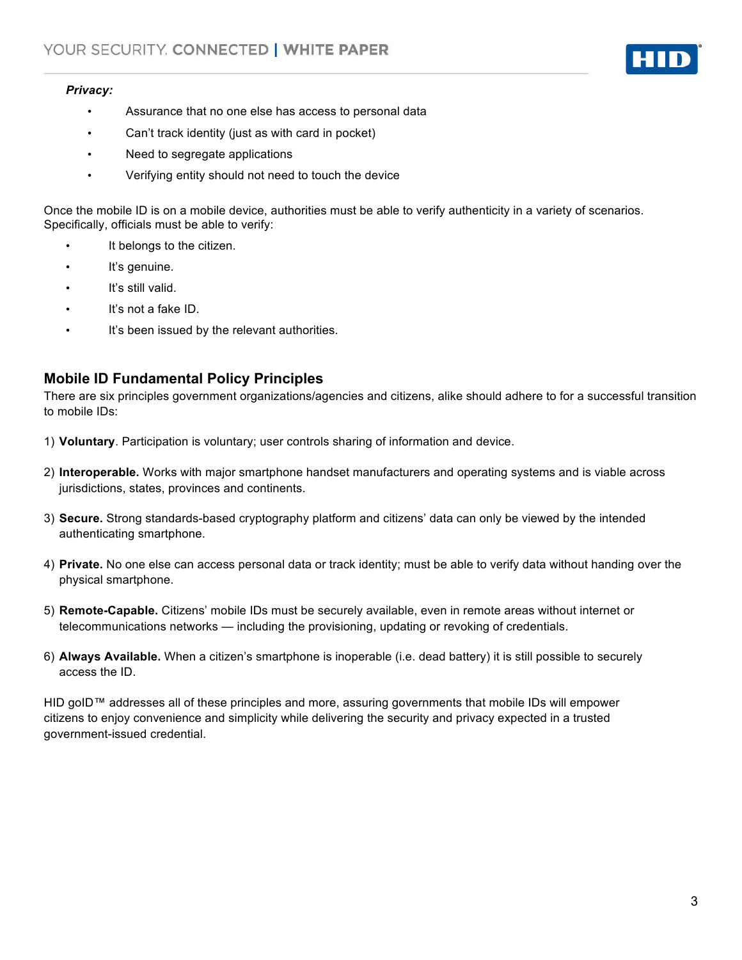#### *Privacy:*

- Assurance that no one else has access to personal data
- Can't track identity (just as with card in pocket)
- Need to segregate applications
- Verifying entity should not need to touch the device

Once the mobile ID is on a mobile device, authorities must be able to verify authenticity in a variety of scenarios. Specifically, officials must be able to verify:

- It belongs to the citizen.
- It's genuine.
- It's still valid.
- It's not a fake ID.
- It's been issued by the relevant authorities.

### **Mobile ID Fundamental Policy Principles**

There are six principles government organizations/agencies and citizens, alike should adhere to for a successful transition to mobile IDs:

- 1) **Voluntary**. Participation is voluntary; user controls sharing of information and device.
- 2) **Interoperable.** Works with major smartphone handset manufacturers and operating systems and is viable across jurisdictions, states, provinces and continents.
- 3) **Secure.** Strong standards-based cryptography platform and citizens' data can only be viewed by the intended authenticating smartphone.
- 4) **Private.** No one else can access personal data or track identity; must be able to verify data without handing over the physical smartphone.
- 5) **Remote-Capable.** Citizens' mobile IDs must be securely available, even in remote areas without internet or telecommunications networks — including the provisioning, updating or revoking of credentials.
- 6) **Always Available.** When a citizen's smartphone is inoperable (i.e. dead battery) it is still possible to securely access the ID.

HID goID™ addresses all of these principles and more, assuring governments that mobile IDs will empower citizens to enjoy convenience and simplicity while delivering the security and privacy expected in a trusted government-issued credential.

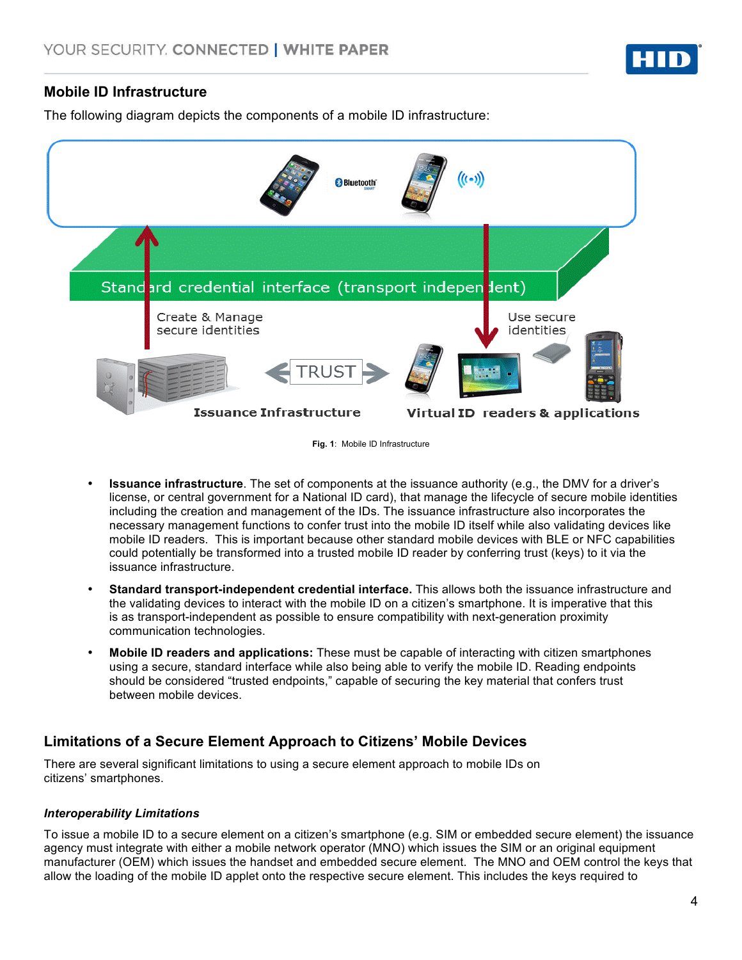

## **Mobile ID Infrastructure**

The following diagram depicts the components of a mobile ID infrastructure:



**Fig. 1**: Mobile ID Infrastructure

- **Issuance infrastructure**. The set of components at the issuance authority (e.g., the DMV for a driver's license, or central government for a National ID card), that manage the lifecycle of secure mobile identities including the creation and management of the IDs. The issuance infrastructure also incorporates the necessary management functions to confer trust into the mobile ID itself while also validating devices like mobile ID readers. This is important because other standard mobile devices with BLE or NFC capabilities could potentially be transformed into a trusted mobile ID reader by conferring trust (keys) to it via the issuance infrastructure.
- **Standard transport-independent credential interface.** This allows both the issuance infrastructure and the validating devices to interact with the mobile ID on a citizen's smartphone. It is imperative that this is as transport-independent as possible to ensure compatibility with next-generation proximity communication technologies.
- **Mobile ID readers and applications:** These must be capable of interacting with citizen smartphones using a secure, standard interface while also being able to verify the mobile ID. Reading endpoints should be considered "trusted endpoints," capable of securing the key material that confers trust between mobile devices.

# **Limitations of a Secure Element Approach to Citizens' Mobile Devices**

There are several significant limitations to using a secure element approach to mobile IDs on citizens' smartphones.

## *Interoperability Limitations*

To issue a mobile ID to a secure element on a citizen's smartphone (e.g. SIM or embedded secure element) the issuance agency must integrate with either a mobile network operator (MNO) which issues the SIM or an original equipment manufacturer (OEM) which issues the handset and embedded secure element. The MNO and OEM control the keys that allow the loading of the mobile ID applet onto the respective secure element. This includes the keys required to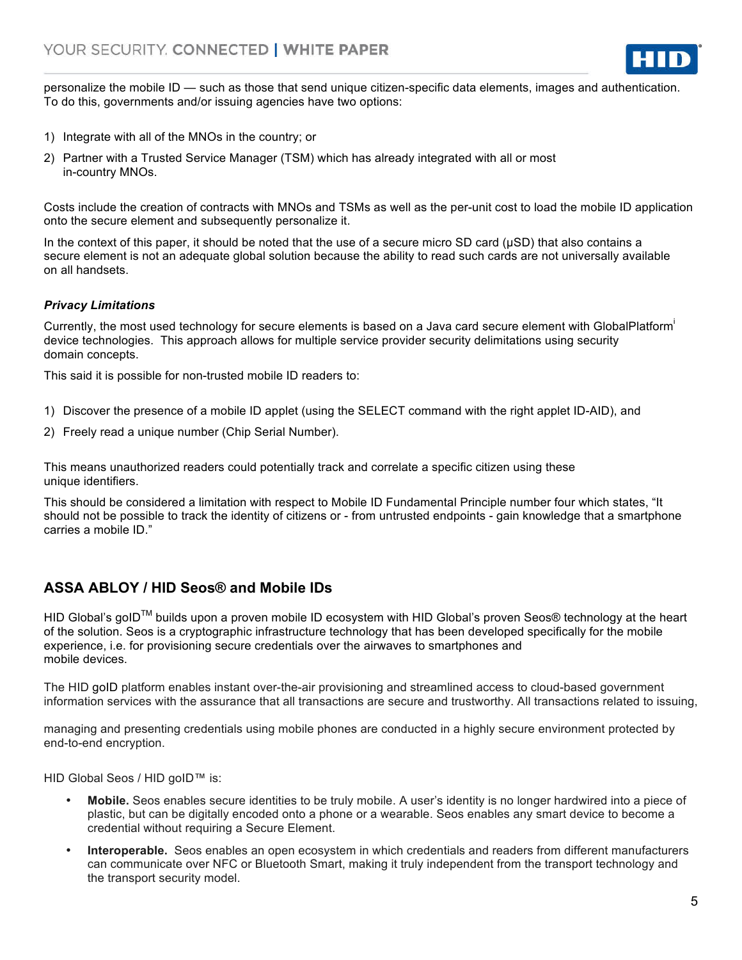

personalize the mobile ID — such as those that send unique citizen-specific data elements, images and authentication. To do this, governments and/or issuing agencies have two options:

- 1) Integrate with all of the MNOs in the country; or
- 2) Partner with a Trusted Service Manager (TSM) which has already integrated with all or most in-country MNOs.

Costs include the creation of contracts with MNOs and TSMs as well as the per-unit cost to load the mobile ID application onto the secure element and subsequently personalize it.

In the context of this paper, it should be noted that the use of a secure micro SD card (µSD) that also contains a secure element is not an adequate global solution because the ability to read such cards are not universally available on all handsets.

#### *Privacy Limitations*

Currently, the most used technology for secure elements is based on a Java card secure element with GlobalPlatform<sup>i</sup> device technologies. This approach allows for multiple service provider security delimitations using security domain concepts.

This said it is possible for non-trusted mobile ID readers to:

- 1) Discover the presence of a mobile ID applet (using the SELECT command with the right applet ID-AID), and
- 2) Freely read a unique number (Chip Serial Number).

This means unauthorized readers could potentially track and correlate a specific citizen using these unique identifiers.

This should be considered a limitation with respect to Mobile ID Fundamental Principle number four which states, "It should not be possible to track the identity of citizens or - from untrusted endpoints - gain knowledge that a smartphone carries a mobile ID."

# **ASSA ABLOY / HID Seos® and Mobile IDs**

HID Global's goID™ builds upon a proven mobile ID ecosystem with HID Global's proven Seos® technology at the heart of the solution. Seos is a cryptographic infrastructure technology that has been developed specifically for the mobile experience, i.e. for provisioning secure credentials over the airwaves to smartphones and mobile devices.

The HID goID platform enables instant over-the-air provisioning and streamlined access to cloud-based government information services with the assurance that all transactions are secure and trustworthy. All transactions related to issuing,

managing and presenting credentials using mobile phones are conducted in a highly secure environment protected by end-to-end encryption.

HID Global Seos / HID goID™ is:

- **Mobile.** Seos enables secure identities to be truly mobile. A user's identity is no longer hardwired into a piece of plastic, but can be digitally encoded onto a phone or a wearable. Seos enables any smart device to become a credential without requiring a Secure Element.
- **Interoperable.** Seos enables an open ecosystem in which credentials and readers from different manufacturers can communicate over NFC or Bluetooth Smart, making it truly independent from the transport technology and the transport security model.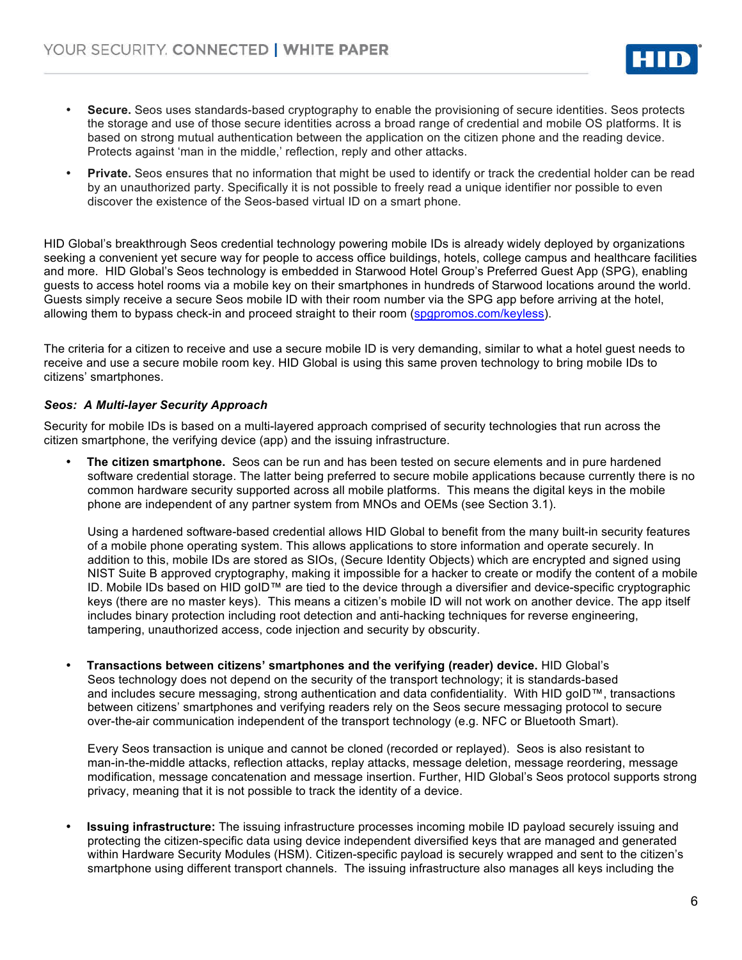

- **Secure.** Seos uses standards-based cryptography to enable the provisioning of secure identities. Seos protects the storage and use of those secure identities across a broad range of credential and mobile OS platforms. It is based on strong mutual authentication between the application on the citizen phone and the reading device. Protects against 'man in the middle,' reflection, reply and other attacks.
- **Private.** Seos ensures that no information that might be used to identify or track the credential holder can be read by an unauthorized party. Specifically it is not possible to freely read a unique identifier nor possible to even discover the existence of the Seos-based virtual ID on a smart phone.

HID Global's breakthrough Seos credential technology powering mobile IDs is already widely deployed by organizations seeking a convenient yet secure way for people to access office buildings, hotels, college campus and healthcare facilities and more. HID Global's Seos technology is embedded in Starwood Hotel Group's Preferred Guest App (SPG), enabling guests to access hotel rooms via a mobile key on their smartphones in hundreds of Starwood locations around the world. Guests simply receive a secure Seos mobile ID with their room number via the SPG app before arriving at the hotel, allowing them to bypass check-in and proceed straight to their room (spgpromos.com/keyless).

The criteria for a citizen to receive and use a secure mobile ID is very demanding, similar to what a hotel guest needs to receive and use a secure mobile room key. HID Global is using this same proven technology to bring mobile IDs to citizens' smartphones.

#### *Seos: A Multi-layer Security Approach*

Security for mobile IDs is based on a multi-layered approach comprised of security technologies that run across the citizen smartphone, the verifying device (app) and the issuing infrastructure.

• **The citizen smartphone.** Seos can be run and has been tested on secure elements and in pure hardened software credential storage. The latter being preferred to secure mobile applications because currently there is no common hardware security supported across all mobile platforms. This means the digital keys in the mobile phone are independent of any partner system from MNOs and OEMs (see Section 3.1).

Using a hardened software-based credential allows HID Global to benefit from the many built-in security features of a mobile phone operating system. This allows applications to store information and operate securely. In addition to this, mobile IDs are stored as SIOs, (Secure Identity Objects) which are encrypted and signed using NIST Suite B approved cryptography, making it impossible for a hacker to create or modify the content of a mobile ID. Mobile IDs based on HID goID™ are tied to the device through a diversifier and device-specific cryptographic keys (there are no master keys). This means a citizen's mobile ID will not work on another device. The app itself includes binary protection including root detection and anti-hacking techniques for reverse engineering, tampering, unauthorized access, code injection and security by obscurity.

• **Transactions between citizens' smartphones and the verifying (reader) device.** HID Global's Seos technology does not depend on the security of the transport technology; it is standards-based and includes secure messaging, strong authentication and data confidentiality. With HID goID™, transactions between citizens' smartphones and verifying readers rely on the Seos secure messaging protocol to secure over-the-air communication independent of the transport technology (e.g. NFC or Bluetooth Smart).

Every Seos transaction is unique and cannot be cloned (recorded or replayed). Seos is also resistant to man-in-the-middle attacks, reflection attacks, replay attacks, message deletion, message reordering, message modification, message concatenation and message insertion. Further, HID Global's Seos protocol supports strong privacy, meaning that it is not possible to track the identity of a device.

• **Issuing infrastructure:** The issuing infrastructure processes incoming mobile ID payload securely issuing and protecting the citizen-specific data using device independent diversified keys that are managed and generated within Hardware Security Modules (HSM). Citizen-specific payload is securely wrapped and sent to the citizen's smartphone using different transport channels. The issuing infrastructure also manages all keys including the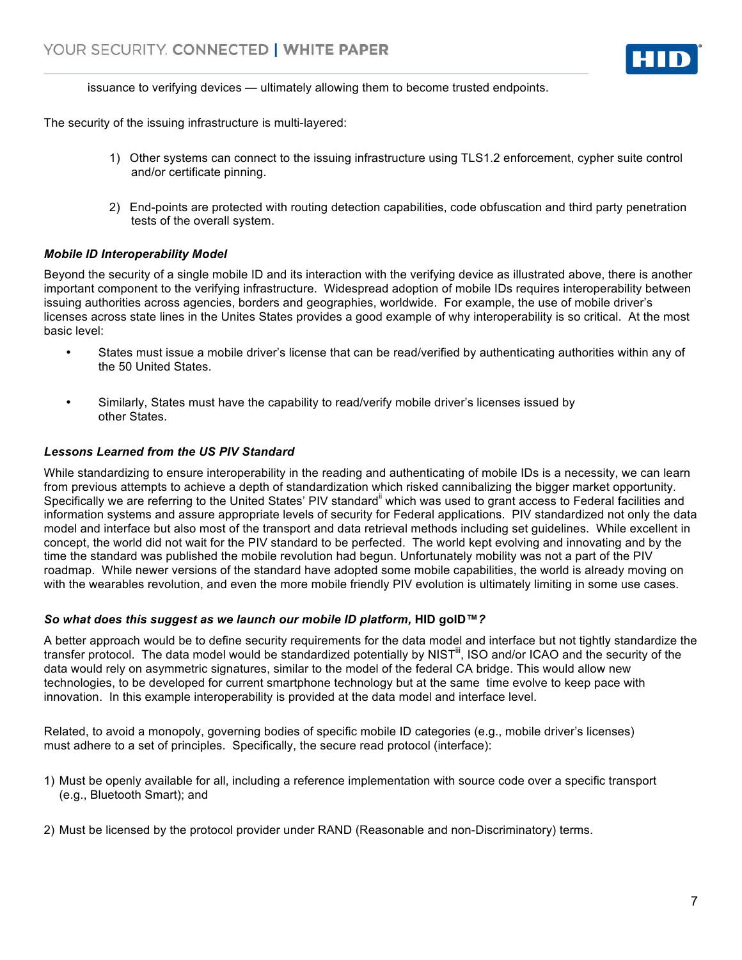

issuance to verifying devices — ultimately allowing them to become trusted endpoints.

The security of the issuing infrastructure is multi-layered:

- 1) Other systems can connect to the issuing infrastructure using TLS1.2 enforcement, cypher suite control and/or certificate pinning.
- 2) End-points are protected with routing detection capabilities, code obfuscation and third party penetration tests of the overall system.

#### *Mobile ID Interoperability Model*

Beyond the security of a single mobile ID and its interaction with the verifying device as illustrated above, there is another important component to the verifying infrastructure. Widespread adoption of mobile IDs requires interoperability between issuing authorities across agencies, borders and geographies, worldwide. For example, the use of mobile driver's licenses across state lines in the Unites States provides a good example of why interoperability is so critical. At the most basic level:

- States must issue a mobile driver's license that can be read/verified by authenticating authorities within any of the 50 United States.
- Similarly, States must have the capability to read/verify mobile driver's licenses issued by other States.

#### *Lessons Learned from the US PIV Standard*

While standardizing to ensure interoperability in the reading and authenticating of mobile IDs is a necessity, we can learn from previous attempts to achieve a depth of standardization which risked cannibalizing the bigger market opportunity. Specifically we are referring to the United States' PIV standard<sup>ii</sup> which was used to grant access to Federal facilities and information systems and assure appropriate levels of security for Federal applications. PIV standardized not only the data model and interface but also most of the transport and data retrieval methods including set guidelines. While excellent in concept, the world did not wait for the PIV standard to be perfected. The world kept evolving and innovating and by the time the standard was published the mobile revolution had begun. Unfortunately mobility was not a part of the PIV roadmap. While newer versions of the standard have adopted some mobile capabilities, the world is already moving on with the wearables revolution, and even the more mobile friendly PIV evolution is ultimately limiting in some use cases.

#### *So what does this suggest as we launch our mobile ID platform,* **HID goID™***?*

A better approach would be to define security requirements for the data model and interface but not tightly standardize the transfer protocol. The data model would be standardized potentially by NIST<sup>III</sup>, ISO and/or ICAO and the security of the data would rely on asymmetric signatures, similar to the model of the federal CA bridge. This would allow new technologies, to be developed for current smartphone technology but at the same time evolve to keep pace with innovation. In this example interoperability is provided at the data model and interface level.

Related, to avoid a monopoly, governing bodies of specific mobile ID categories (e.g., mobile driver's licenses) must adhere to a set of principles. Specifically, the secure read protocol (interface):

- 1) Must be openly available for all, including a reference implementation with source code over a specific transport (e.g., Bluetooth Smart); and
- 2) Must be licensed by the protocol provider under RAND (Reasonable and non-Discriminatory) terms.